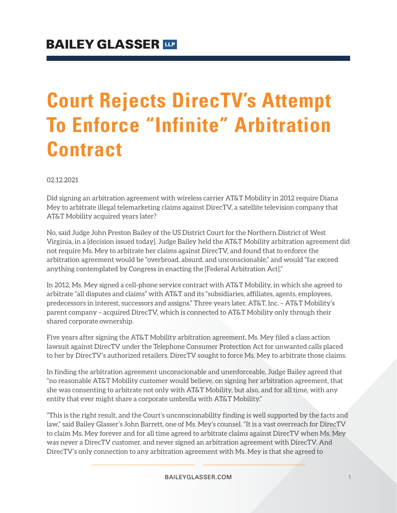# **Court Rejects DirecTV's Attempt To Enforce "Infinite" Arbitration Contract**

02.12.2021

Did signing an arbitration agreement with wireless carrier AT&T Mobility in 2012 require Diana Mey to arbitrate illegal telemarketing claims against DirecTV, a satellite television company that AT&T Mobility acquired years later?

No, said Judge John Preston Bailey of the US District Court for the Northern District of West Virginia, in a [decision issued today]. Judge Bailey held the AT&T Mobility arbitration agreement did not require Ms. Mey to arbitrate her claims against DirecTV, and found that to enforce the arbitration agreement would be "overbroad, absurd, and unconscionable," and would "far exceed anything contemplated by Congress in enacting the [Federal Arbitration Act]."

In 2012, Ms. Mey signed a cell-phone service contract with AT&T Mobility, in which she agreed to arbitrate "all disputes and claims" with AT&T and its "subsidiaries, affiliates, agents, employees, predecessors in interest, successors and assigns." Three years later, AT&T, Inc. – AT&T Mobility's parent company – acquired DirecTV, which is connected to AT&T Mobility only through their shared corporate ownership.

Five years after signing the AT&T Mobility arbitration agreement, Ms. Mey filed a class action lawsuit against DirecTV under the Telephone Consumer Protection Act for unwanted calls placed to her by DirecTV's authorized retailers. DirecTV sought to force Ms. Mey to arbitrate those claims.

In finding the arbitration agreement unconscionable and unenforceable, Judge Bailey agreed that "no reasonable AT&T Mobility customer would believe, on signing her arbitration agreement, that she was consenting to arbitrate not only with AT&T Mobility, but also, and for all time, with any entity that ever might share a corporate umbrella with AT&T Mobility."

"This is the right result, and the Court's unconscionability finding is well supported by the facts and law," said Bailey Glasser's John Barrett, one of Ms. Mey's counsel. "It is a vast overreach for DirecTV to claim Ms. Mey forever and for all time agreed to arbitrate claims against DirecTV when Ms. Mey was never a DirecTV customer, and never signed an arbitration agreement with DirecTV. And DirecTV's only connection to any arbitration agreement with Ms. Mey is that she agreed to

BAILEYGLASSER.COM 1